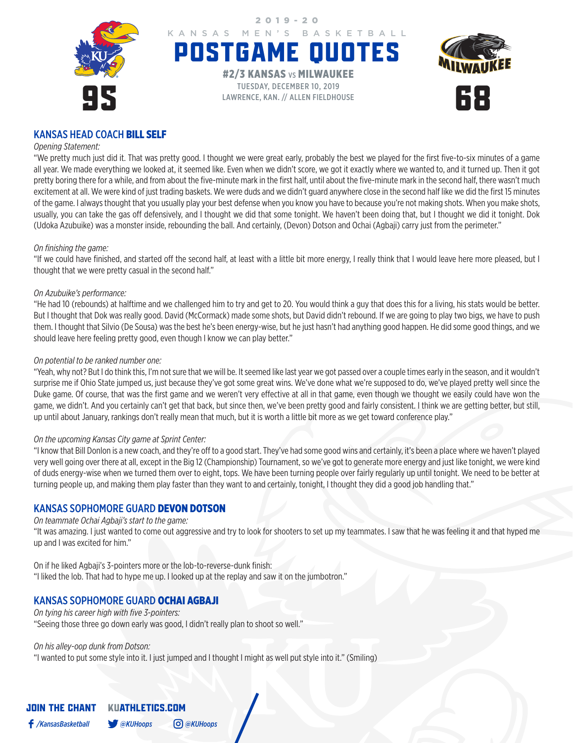

## KANSAS HEAD COACH BILL SELF

## *Opening Statement:*

"We pretty much just did it. That was pretty good. I thought we were great early, probably the best we played for the first five-to-six minutes of a game all year. We made everything we looked at, it seemed like. Even when we didn't score, we got it exactly where we wanted to, and it turned up. Then it got pretty boring there for a while, and from about the five-minute mark in the first half, until about the five-minute mark in the second half, there wasn't much excitement at all. We were kind of just trading baskets. We were duds and we didn't guard anywhere close in the second half like we did the first 15 minutes of the game. I always thought that you usually play your best defense when you know you have to because you're not making shots. When you make shots, usually, you can take the gas off defensively, and I thought we did that some tonight. We haven't been doing that, but I thought we did it tonight. Dok (Udoka Azubuike) was a monster inside, rebounding the ball. And certainly, (Devon) Dotson and Ochai (Agbaji) carry just from the perimeter."

## *On finishing the game:*

"If we could have finished, and started off the second half, at least with a little bit more energy, I really think that I would leave here more pleased, but I thought that we were pretty casual in the second half."

## *On Azubuike's performance:*

"He had 10 (rebounds) at halftime and we challenged him to try and get to 20. You would think a guy that does this for a living, his stats would be better. But I thought that Dok was really good. David (McCormack) made some shots, but David didn't rebound. If we are going to play two bigs, we have to push them. I thought that Silvio (De Sousa) was the best he's been energy-wise, but he just hasn't had anything good happen. He did some good things, and we should leave here feeling pretty good, even though I know we can play better."

#### *On potential to be ranked number one:*

"Yeah, why not? But I do think this, I'm not sure that we will be. It seemed like last year we got passed over a couple times early in the season, and it wouldn't surprise me if Ohio State jumped us, just because they've got some great wins. We've done what we're supposed to do, we've played pretty well since the Duke game. Of course, that was the first game and we weren't very effective at all in that game, even though we thought we easily could have won the game, we didn't. And you certainly can't get that back, but since then, we've been pretty good and fairly consistent. I think we are getting better, but still, up until about January, rankings don't really mean that much, but it is worth a little bit more as we get toward conference play."

#### *On the upcoming Kansas City game at Sprint Center:*

"I know that Bill Donlon is a new coach, and they're off to a good start. They've had some good wins and certainly, it's been a place where we haven't played very well going over there at all, except in the Big 12 (Championship) Tournament, so we've got to generate more energy and just like tonight, we were kind of duds energy-wise when we turned them over to eight, tops. We have been turning people over fairly regularly up until tonight. We need to be better at turning people up, and making them play faster than they want to and certainly, tonight, I thought they did a good job handling that."

## KANSAS SOPHOMORE GUARD DEVON DOTSON

## *On teammate Ochai Agbaji's start to the game:*

"It was amazing. I just wanted to come out aggressive and try to look for shooters to set up my teammates. I saw that he was feeling it and that hyped me up and I was excited for him."

On if he liked Agbaji's 3-pointers more or the lob-to-reverse-dunk finish: "I liked the lob. That had to hype me up. I looked up at the replay and saw it on the jumbotron."

## KANSAS SOPHOMORE GUARD OCHAI AGBAJI

#### *On tying his career high with five 3-pointers:*

"Seeing those three go down early was good, I didn't really plan to shoot so well."

## *On his alley-oop dunk from Dotson:*

"I wanted to put some style into it. I just jumped and I thought I might as well put style into it." (Smiling)

# JOIN THE CHANT KUATHLETICS.COM */KansasBasketball @KUHoops @KUHoops*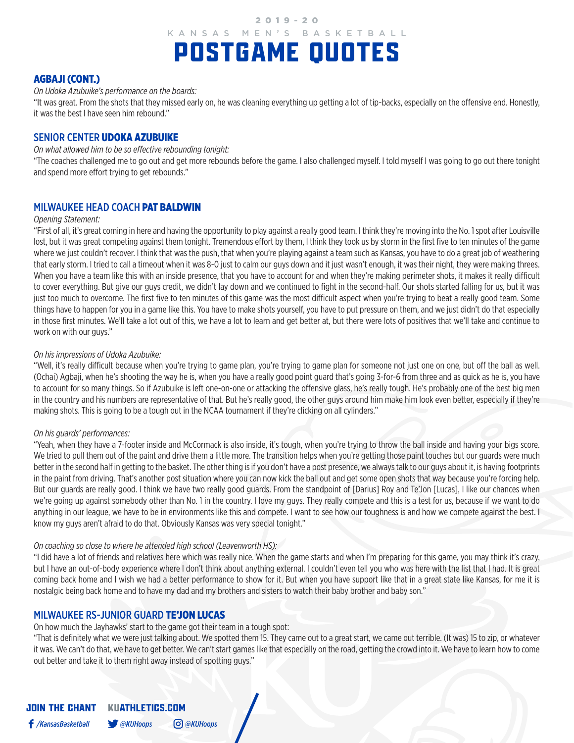2019-20

# POSTGAME QUOTES KANSAS MEN'S BASKETBALL

## AGBAJI (CONT.)

*On Udoka Azubuike's performance on the boards:*

"It was great. From the shots that they missed early on, he was cleaning everything up getting a lot of tip-backs, especially on the offensive end. Honestly, it was the best I have seen him rebound."

## SENIOR CENTER UDOKA AZUBUIKE

*On what allowed him to be so effective rebounding tonight:*

"The coaches challenged me to go out and get more rebounds before the game. I also challenged myself. I told myself I was going to go out there tonight and spend more effort trying to get rebounds."

## MILWAUKEE HEAD COACH PAT BALDWIN

## *Opening Statement:*

"First of all, it's great coming in here and having the opportunity to play against a really good team. I think they're moving into the No. 1 spot after Louisville lost, but it was great competing against them tonight. Tremendous effort by them, I think they took us by storm in the first five to ten minutes of the game where we just couldn't recover. I think that was the push, that when you're playing against a team such as Kansas, you have to do a great job of weathering that early storm. I tried to call a timeout when it was 8-0 just to calm our guys down and it just wasn't enough, it was their night, they were making threes. When you have a team like this with an inside presence, that you have to account for and when they're making perimeter shots, it makes it really difficult to cover everything. But give our guys credit, we didn't lay down and we continued to fight in the second-half. Our shots started falling for us, but it was just too much to overcome. The first five to ten minutes of this game was the most difficult aspect when you're trying to beat a really good team. Some things have to happen for you in a game like this. You have to make shots yourself, you have to put pressure on them, and we just didn't do that especially in those first minutes. We'll take a lot out of this, we have a lot to learn and get better at, but there were lots of positives that we'll take and continue to work on with our guys."

## *On his impressions of Udoka Azubuike:*

"Well, it's really difficult because when you're trying to game plan, you're trying to game plan for someone not just one on one, but off the ball as well. (Ochai) Agbaji, when he's shooting the way he is, when you have a really good point guard that's going 3-for-6 from three and as quick as he is, you have to account for so many things. So if Azubuike is left one-on-one or attacking the offensive glass, he's really tough. He's probably one of the best big men in the country and his numbers are representative of that. But he's really good, the other guys around him make him look even better, especially if they're making shots. This is going to be a tough out in the NCAA tournament if they're clicking on all cylinders."

## *On his guards' performances:*

"Yeah, when they have a 7-footer inside and McCormack is also inside, it's tough, when you're trying to throw the ball inside and having your bigs score. We tried to pull them out of the paint and drive them a little more. The transition helps when you're getting those paint touches but our guards were much better in the second half in getting to the basket. The other thing is if you don't have a post presence, we always talk to our guys about it, is having footprints in the paint from driving. That's another post situation where you can now kick the ball out and get some open shots that way because you're forcing help. But our guards are really good. I think we have two really good guards. From the standpoint of [Darius] Roy and Te'Jon [Lucas], I like our chances when we're going up against somebody other than No. 1 in the country. I love my guys. They really compete and this is a test for us, because if we want to do anything in our league, we have to be in environments like this and compete. I want to see how our toughness is and how we compete against the best. I know my guys aren't afraid to do that. Obviously Kansas was very special tonight."

## *On coaching so close to where he attended high school (Leavenworth HS):*

"I did have a lot of friends and relatives here which was really nice. When the game starts and when I'm preparing for this game, you may think it's crazy, but I have an out-of-body experience where I don't think about anything external. I couldn't even tell you who was here with the list that I had. It is great coming back home and I wish we had a better performance to show for it. But when you have support like that in a great state like Kansas, for me it is nostalgic being back home and to have my dad and my brothers and sisters to watch their baby brother and baby son."

## MILWAUKEE RS-JUNIOR GUARD TE'JON LUCAS

## On how much the Jayhawks' start to the game got their team in a tough spot:

"That is definitely what we were just talking about. We spotted them 15. They came out to a great start, we came out terrible. (It was) 15 to zip, or whatever it was. We can't do that, we have to get better. We can't start games like that especially on the road, getting the crowd into it. We have to learn how to come out better and take it to them right away instead of spotting guys."